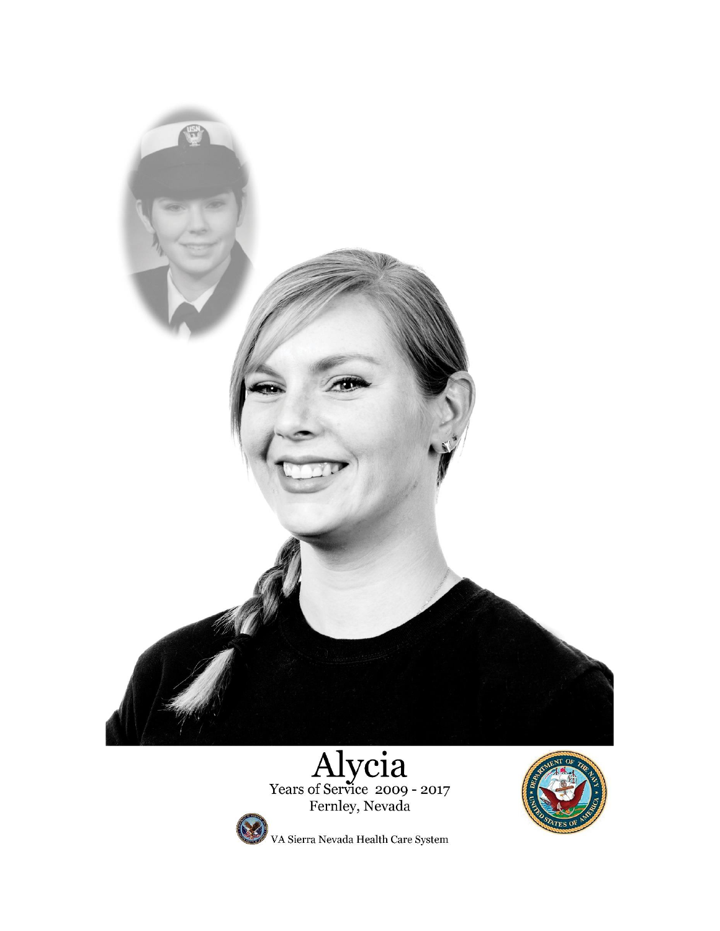





VA Sierra Nevada Health Care System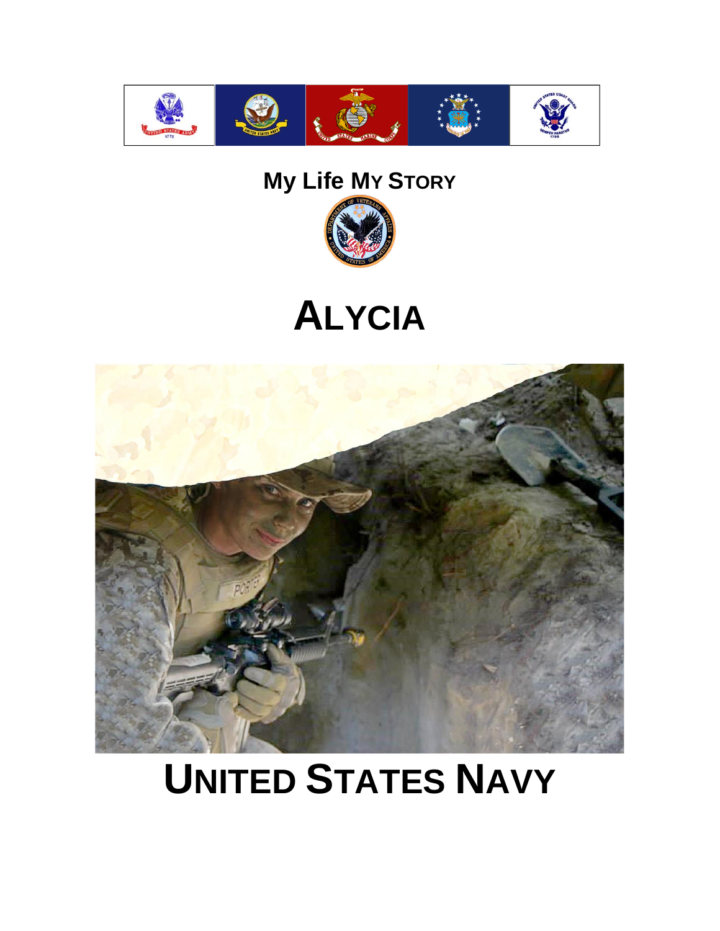

# **My Life MY STORY**



# **ALYCIA**



# **UNITED STATES NAVY**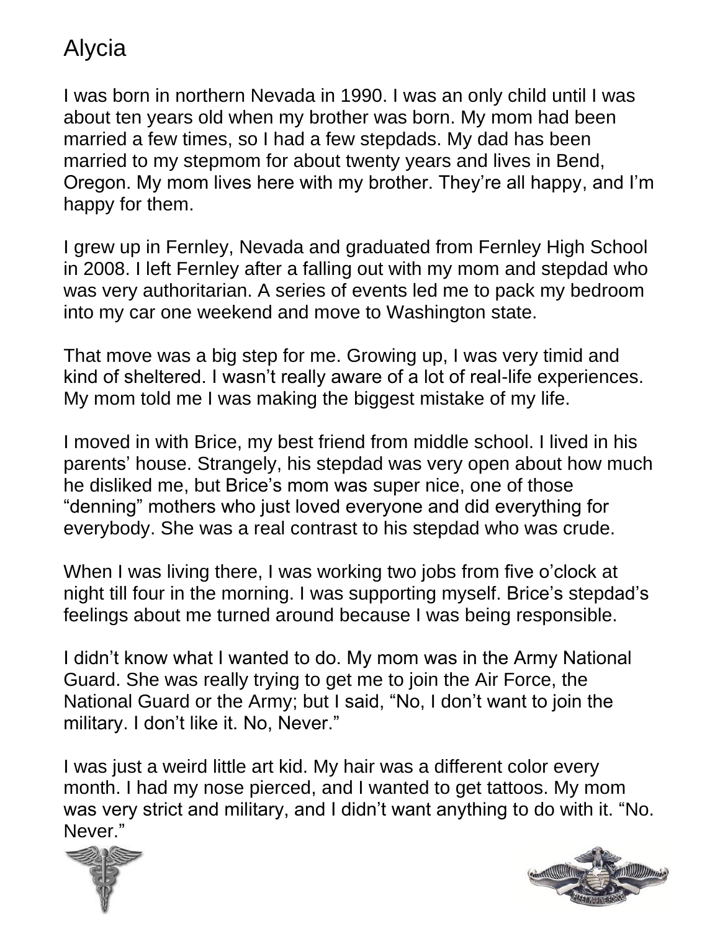I was born in northern Nevada in 1990. I was an only child until I was about ten years old when my brother was born. My mom had been married a few times, so I had a few stepdads. My dad has been married to my stepmom for about twenty years and lives in Bend, Oregon. My mom lives here with my brother. They're all happy, and I'm happy for them.

I grew up in Fernley, Nevada and graduated from Fernley High School in 2008. I left Fernley after a falling out with my mom and stepdad who was very authoritarian. A series of events led me to pack my bedroom into my car one weekend and move to Washington state.

That move was a big step for me. Growing up, I was very timid and kind of sheltered. I wasn't really aware of a lot of real-life experiences. My mom told me I was making the biggest mistake of my life.

I moved in with Brice, my best friend from middle school. I lived in his parents' house. Strangely, his stepdad was very open about how much he disliked me, but Brice's mom was super nice, one of those "denning" mothers who just loved everyone and did everything for everybody. She was a real contrast to his stepdad who was crude.

When I was living there, I was working two jobs from five o'clock at night till four in the morning. I was supporting myself. Brice's stepdad's feelings about me turned around because I was being responsible.

I didn't know what I wanted to do. My mom was in the Army National Guard. She was really trying to get me to join the Air Force, the National Guard or the Army; but I said, "No, I don't want to join the military. I don't like it. No, Never."

I was just a weird little art kid. My hair was a different color every month. I had my nose pierced, and I wanted to get tattoos. My mom was very strict and military, and I didn't want anything to do with it. "No. Never."



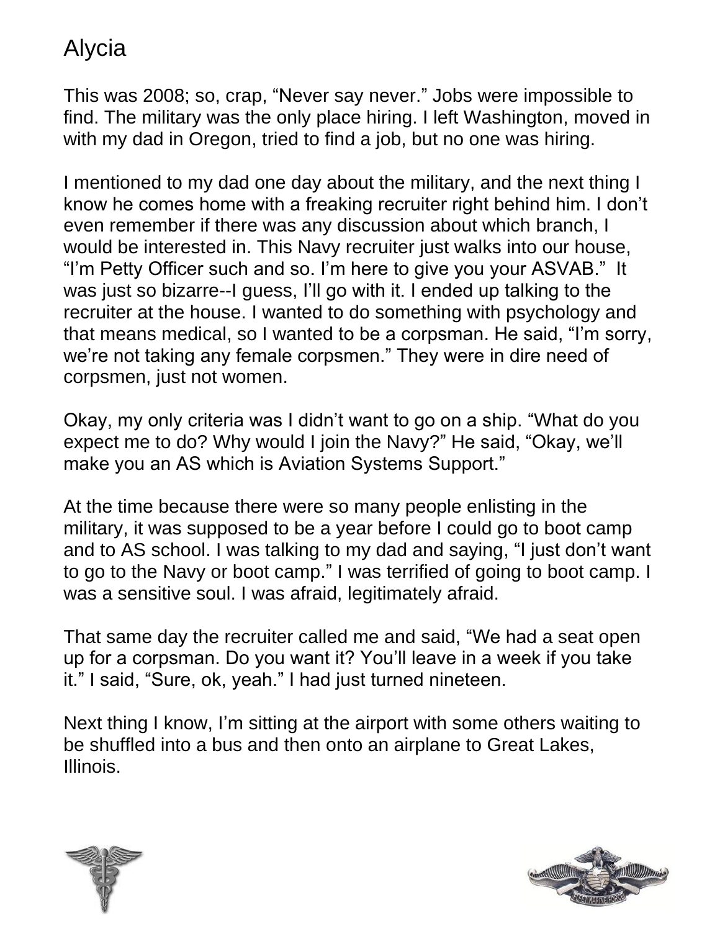This was 2008; so, crap, "Never say never." Jobs were impossible to find. The military was the only place hiring. I left Washington, moved in with my dad in Oregon, tried to find a job, but no one was hiring.

I mentioned to my dad one day about the military, and the next thing I know he comes home with a freaking recruiter right behind him. I don't even remember if there was any discussion about which branch, I would be interested in. This Navy recruiter just walks into our house, "I'm Petty Officer such and so. I'm here to give you your ASVAB." It was just so bizarre--I guess, I'll go with it. I ended up talking to the recruiter at the house. I wanted to do something with psychology and that means medical, so I wanted to be a corpsman. He said, "I'm sorry, we're not taking any female corpsmen." They were in dire need of corpsmen, just not women.

Okay, my only criteria was I didn't want to go on a ship. "What do you expect me to do? Why would I join the Navy?" He said, "Okay, we'll make you an AS which is Aviation Systems Support."

At the time because there were so many people enlisting in the military, it was supposed to be a year before I could go to boot camp and to AS school. I was talking to my dad and saying, "I just don't want to go to the Navy or boot camp." I was terrified of going to boot camp. I was a sensitive soul. I was afraid, legitimately afraid.

That same day the recruiter called me and said, "We had a seat open up for a corpsman. Do you want it? You'll leave in a week if you take it." I said, "Sure, ok, yeah." I had just turned nineteen.

Next thing I know, I'm sitting at the airport with some others waiting to be shuffled into a bus and then onto an airplane to Great Lakes, Illinois.



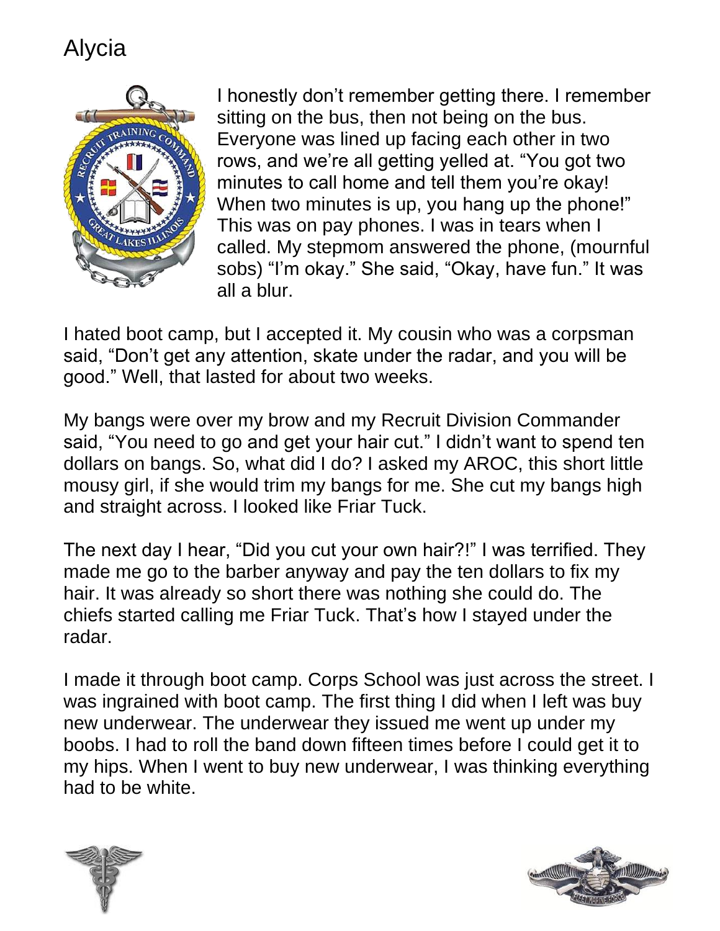

I honestly don't remember getting there. I remember sitting on the bus, then not being on the bus. Everyone was lined up facing each other in two rows, and we're all getting yelled at. "You got two minutes to call home and tell them you're okay! When two minutes is up, you hang up the phone!" This was on pay phones. I was in tears when I called. My stepmom answered the phone, (mournful sobs) "I'm okay." She said, "Okay, have fun." It was all a blur.

I hated boot camp, but I accepted it. My cousin who was a corpsman said, "Don't get any attention, skate under the radar, and you will be good." Well, that lasted for about two weeks.

My bangs were over my brow and my Recruit Division Commander said, "You need to go and get your hair cut." I didn't want to spend ten dollars on bangs. So, what did I do? I asked my AROC, this short little mousy girl, if she would trim my bangs for me. She cut my bangs high and straight across. I looked like Friar Tuck.

The next day I hear, "Did you cut your own hair?!" I was terrified. They made me go to the barber anyway and pay the ten dollars to fix my hair. It was already so short there was nothing she could do. The chiefs started calling me Friar Tuck. That's how I stayed under the radar.

I made it through boot camp. Corps School was just across the street. I was ingrained with boot camp. The first thing I did when I left was buy new underwear. The underwear they issued me went up under my boobs. I had to roll the band down fifteen times before I could get it to my hips. When I went to buy new underwear, I was thinking everything had to be white.



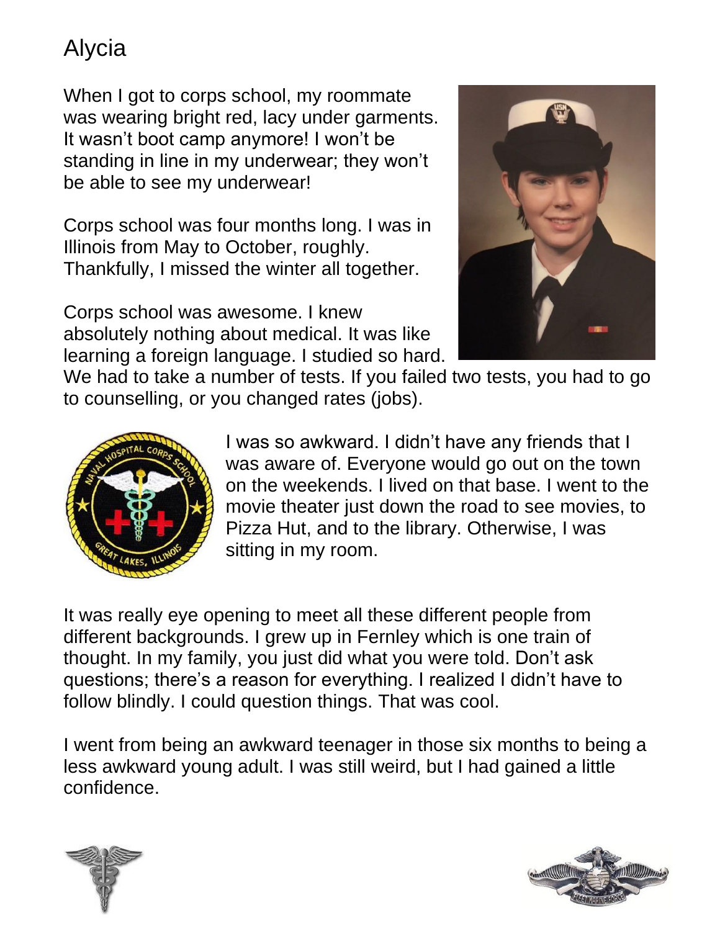When I got to corps school, my roommate was wearing bright red, lacy under garments. It wasn't boot camp anymore! I won't be standing in line in my underwear; they won't be able to see my underwear!

Corps school was four months long. I was in Illinois from May to October, roughly. Thankfully, I missed the winter all together.

Corps school was awesome. I knew absolutely nothing about medical. It was like learning a foreign language. I studied so hard.



We had to take a number of tests. If you failed two tests, you had to go to counselling, or you changed rates (jobs).



I was so awkward. I didn't have any friends that I was aware of. Everyone would go out on the town on the weekends. I lived on that base. I went to the movie theater just down the road to see movies, to Pizza Hut, and to the library. Otherwise, I was sitting in my room.

It was really eye opening to meet all these different people from different backgrounds. I grew up in Fernley which is one train of thought. In my family, you just did what you were told. Don't ask questions; there's a reason for everything. I realized I didn't have to follow blindly. I could question things. That was cool.

I went from being an awkward teenager in those six months to being a less awkward young adult. I was still weird, but I had gained a little confidence.



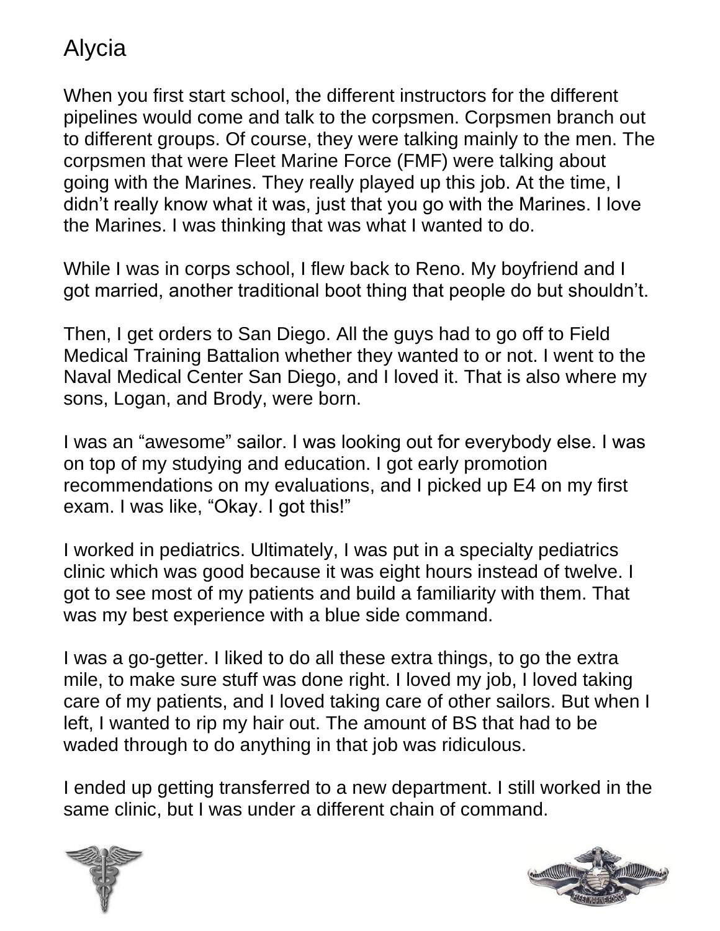When you first start school, the different instructors for the different pipelines would come and talk to the corpsmen. Corpsmen branch out to different groups. Of course, they were talking mainly to the men. The corpsmen that were Fleet Marine Force (FMF) were talking about going with the Marines. They really played up this job. At the time, I didn't really know what it was, just that you go with the Marines. I love the Marines. I was thinking that was what I wanted to do.

While I was in corps school, I flew back to Reno. My boyfriend and I got married, another traditional boot thing that people do but shouldn't.

Then, I get orders to San Diego. All the guys had to go off to Field Medical Training Battalion whether they wanted to or not. I went to the Naval Medical Center San Diego, and I loved it. That is also where my sons, Logan, and Brody, were born.

I was an "awesome" sailor. I was looking out for everybody else. I was on top of my studying and education. I got early promotion recommendations on my evaluations, and I picked up E4 on my first exam. I was like, "Okay. I got this!"

I worked in pediatrics. Ultimately, I was put in a specialty pediatrics clinic which was good because it was eight hours instead of twelve. I got to see most of my patients and build a familiarity with them. That was my best experience with a blue side command.

I was a go-getter. I liked to do all these extra things, to go the extra mile, to make sure stuff was done right. I loved my job, I loved taking care of my patients, and I loved taking care of other sailors. But when I left, I wanted to rip my hair out. The amount of BS that had to be waded through to do anything in that job was ridiculous.

I ended up getting transferred to a new department. I still worked in the same clinic, but I was under a different chain of command.



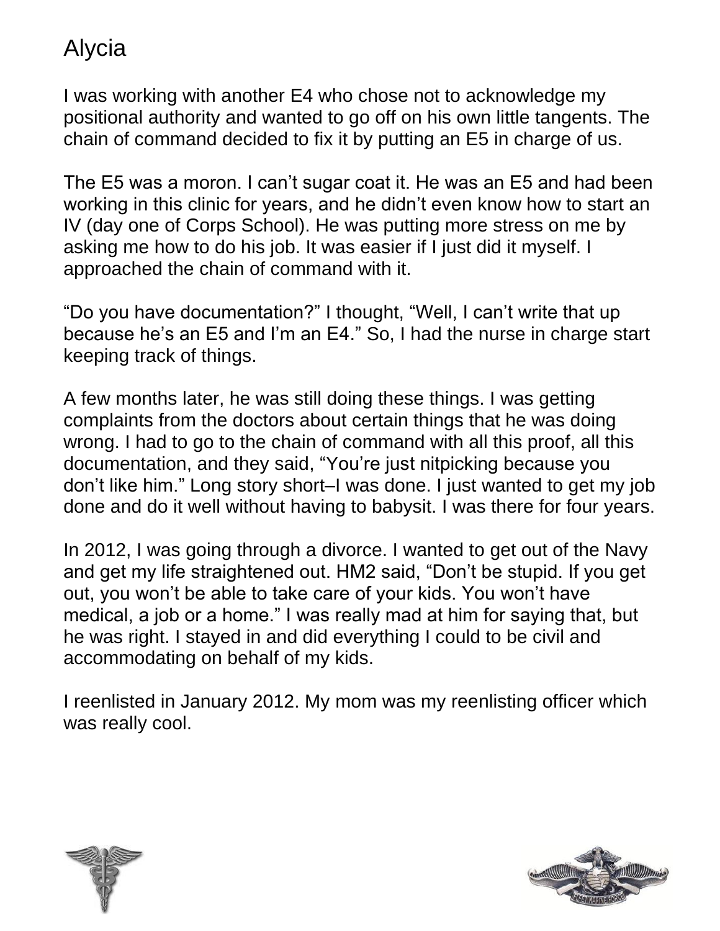I was working with another E4 who chose not to acknowledge my positional authority and wanted to go off on his own little tangents. The chain of command decided to fix it by putting an E5 in charge of us.

The E5 was a moron. I can't sugar coat it. He was an E5 and had been working in this clinic for years, and he didn't even know how to start an IV (day one of Corps School). He was putting more stress on me by asking me how to do his job. It was easier if I just did it myself. I approached the chain of command with it.

"Do you have documentation?" I thought, "Well, I can't write that up because he's an E5 and I'm an E4." So, I had the nurse in charge start keeping track of things.

A few months later, he was still doing these things. I was getting complaints from the doctors about certain things that he was doing wrong. I had to go to the chain of command with all this proof, all this documentation, and they said, "You're just nitpicking because you don't like him." Long story short–I was done. I just wanted to get my job done and do it well without having to babysit. I was there for four years.

In 2012, I was going through a divorce. I wanted to get out of the Navy and get my life straightened out. HM2 said, "Don't be stupid. If you get out, you won't be able to take care of your kids. You won't have medical, a job or a home." I was really mad at him for saying that, but he was right. I stayed in and did everything I could to be civil and accommodating on behalf of my kids.

I reenlisted in January 2012. My mom was my reenlisting officer which was really cool.



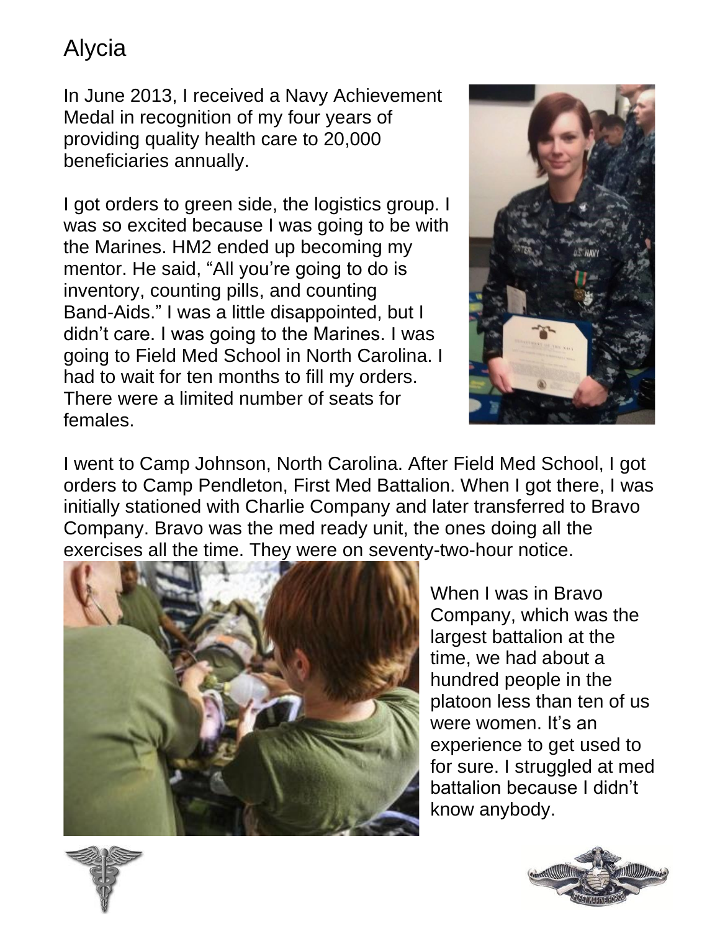In June 2013, I received a Navy Achievement Medal in recognition of my four years of providing quality health care to 20,000 beneficiaries annually.

I got orders to green side, the logistics group. I was so excited because I was going to be with the Marines. HM2 ended up becoming my mentor. He said, "All you're going to do is inventory, counting pills, and counting Band-Aids." I was a little disappointed, but I didn't care. I was going to the Marines. I was going to Field Med School in North Carolina. I had to wait for ten months to fill my orders. There were a limited number of seats for females.



I went to Camp Johnson, North Carolina. After Field Med School, I got orders to Camp Pendleton, First Med Battalion. When I got there, I was initially stationed with Charlie Company and later transferred to Bravo Company. Bravo was the med ready unit, the ones doing all the exercises all the time. They were on seventy-two-hour notice.



When I was in Bravo Company, which was the largest battalion at the time, we had about a hundred people in the platoon less than ten of us were women. It's an experience to get used to for sure. I struggled at med battalion because I didn't know anybody.



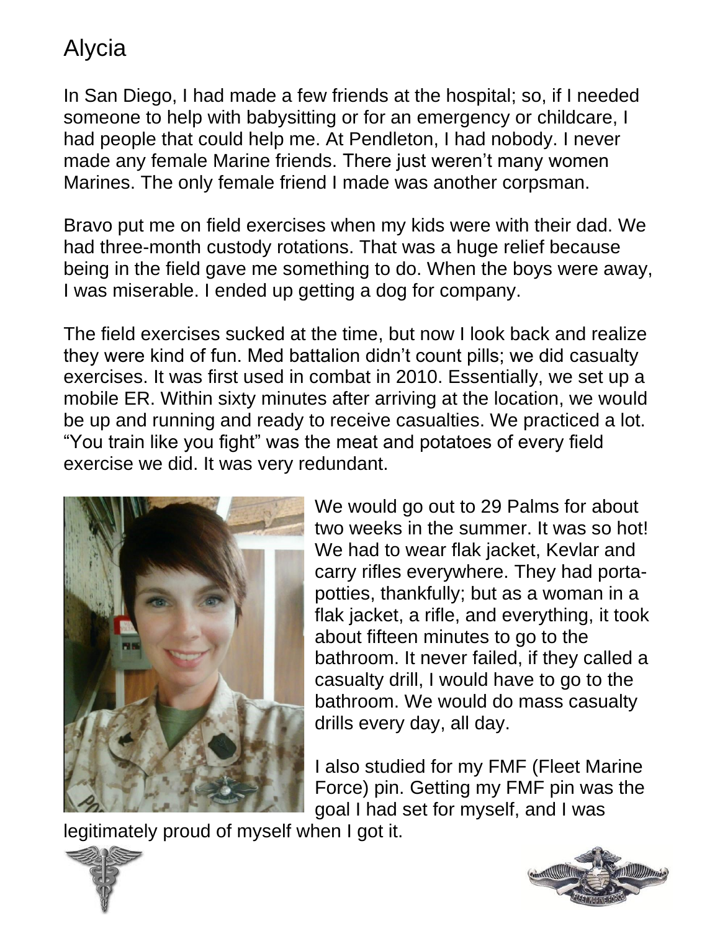In San Diego, I had made a few friends at the hospital; so, if I needed someone to help with babysitting or for an emergency or childcare, I had people that could help me. At Pendleton, I had nobody. I never made any female Marine friends. There just weren't many women Marines. The only female friend I made was another corpsman.

Bravo put me on field exercises when my kids were with their dad. We had three-month custody rotations. That was a huge relief because being in the field gave me something to do. When the boys were away, I was miserable. I ended up getting a dog for company.

The field exercises sucked at the time, but now I look back and realize they were kind of fun. Med battalion didn't count pills; we did casualty exercises. It was first used in combat in 2010. Essentially, we set up a mobile ER. Within sixty minutes after arriving at the location, we would be up and running and ready to receive casualties. We practiced a lot. "You train like you fight" was the meat and potatoes of every field exercise we did. It was very redundant.



We would go out to 29 Palms for about two weeks in the summer. It was so hot! We had to wear flak jacket, Kevlar and carry rifles everywhere. They had portapotties, thankfully; but as a woman in a flak jacket, a rifle, and everything, it took about fifteen minutes to go to the bathroom. It never failed, if they called a casualty drill, I would have to go to the bathroom. We would do mass casualty drills every day, all day.

I also studied for my FMF (Fleet Marine Force) pin. Getting my FMF pin was the goal I had set for myself, and I was

legitimately proud of myself when I got it.



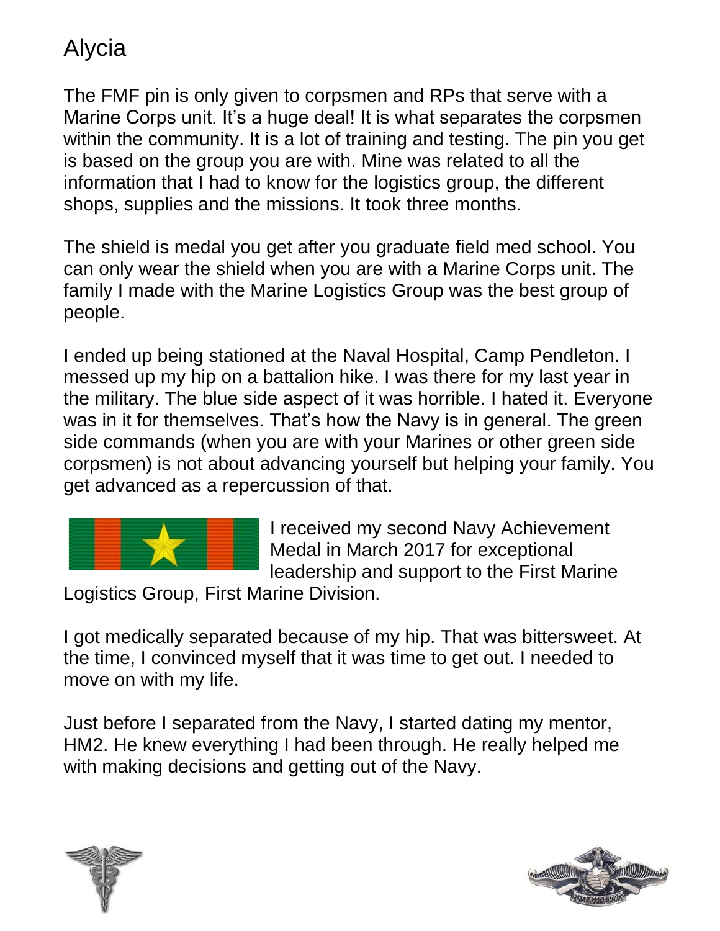The FMF pin is only given to corpsmen and RPs that serve with a Marine Corps unit. It's a huge deal! It is what separates the corpsmen within the community. It is a lot of training and testing. The pin you get is based on the group you are with. Mine was related to all the information that I had to know for the logistics group, the different shops, supplies and the missions. It took three months.

The shield is medal you get after you graduate field med school. You can only wear the shield when you are with a Marine Corps unit. The family I made with the Marine Logistics Group was the best group of people.

I ended up being stationed at the Naval Hospital, Camp Pendleton. I messed up my hip on a battalion hike. I was there for my last year in the military. The blue side aspect of it was horrible. I hated it. Everyone was in it for themselves. That's how the Navy is in general. The green side commands (when you are with your Marines or other green side corpsmen) is not about advancing yourself but helping your family. You get advanced as a repercussion of that.



I received my second Navy Achievement Medal in March 2017 for exceptional leadership and support to the First Marine

Logistics Group, First Marine Division.

I got medically separated because of my hip. That was bittersweet. At the time, I convinced myself that it was time to get out. I needed to move on with my life.

Just before I separated from the Navy, I started dating my mentor, HM2. He knew everything I had been through. He really helped me with making decisions and getting out of the Navy.